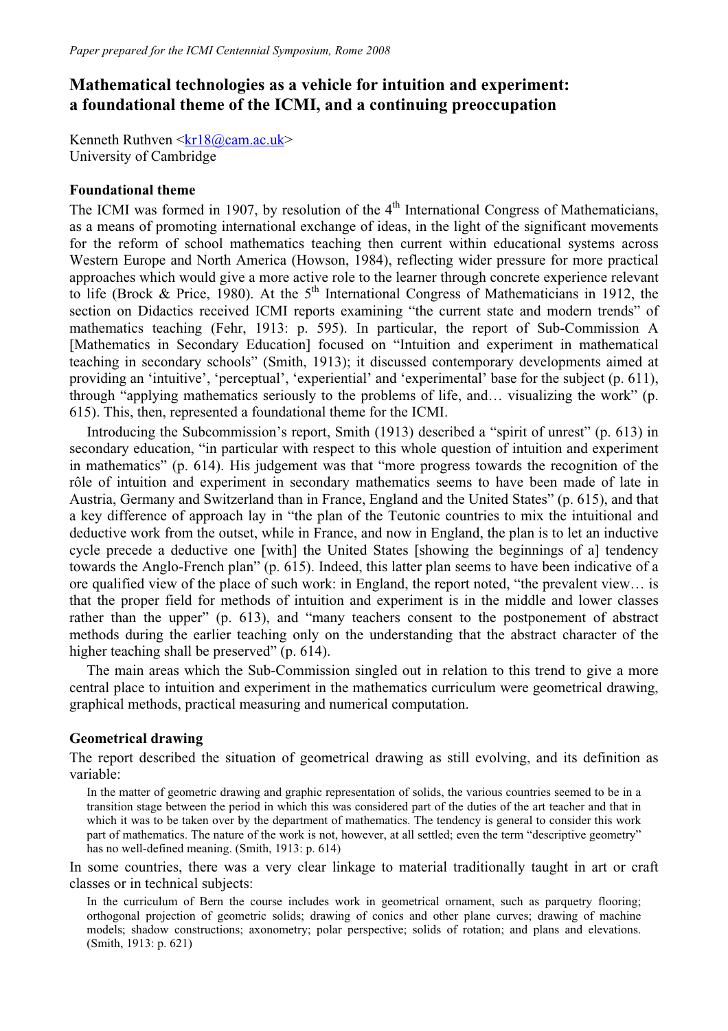# **Mathematical technologies as a vehicle for intuition and experiment: a foundational theme of the ICMI, and a continuing preoccupation**

Kenneth Ruthven  $\langle kr18@cam.ac.uk\rangle$ University of Cambridge

## **Foundational theme**

The ICMI was formed in 1907, by resolution of the 4<sup>th</sup> International Congress of Mathematicians, as a means of promoting international exchange of ideas, in the light of the significant movements for the reform of school mathematics teaching then current within educational systems across Western Europe and North America (Howson, 1984), reflecting wider pressure for more practical approaches which would give a more active role to the learner through concrete experience relevant to life (Brock & Price, 1980). At the  $5<sup>th</sup>$  International Congress of Mathematicians in 1912, the section on Didactics received ICMI reports examining "the current state and modern trends" of mathematics teaching (Fehr, 1913: p. 595). In particular, the report of Sub-Commission A [Mathematics in Secondary Education] focused on "Intuition and experiment in mathematical teaching in secondary schools" (Smith, 1913); it discussed contemporary developments aimed at providing an 'intuitive', 'perceptual', 'experiential' and 'experimental' base for the subject (p. 611), through "applying mathematics seriously to the problems of life, and… visualizing the work" (p. 615). This, then, represented a foundational theme for the ICMI.

Introducing the Subcommission's report, Smith (1913) described a "spirit of unrest" (p. 613) in secondary education, "in particular with respect to this whole question of intuition and experiment in mathematics" (p. 614). His judgement was that "more progress towards the recognition of the rôle of intuition and experiment in secondary mathematics seems to have been made of late in Austria, Germany and Switzerland than in France, England and the United States" (p. 615), and that a key difference of approach lay in "the plan of the Teutonic countries to mix the intuitional and deductive work from the outset, while in France, and now in England, the plan is to let an inductive cycle precede a deductive one [with] the United States [showing the beginnings of a] tendency towards the Anglo-French plan" (p. 615). Indeed, this latter plan seems to have been indicative of a ore qualified view of the place of such work: in England, the report noted, "the prevalent view… is that the proper field for methods of intuition and experiment is in the middle and lower classes rather than the upper" (p. 613), and "many teachers consent to the postponement of abstract methods during the earlier teaching only on the understanding that the abstract character of the higher teaching shall be preserved" (p. 614).

The main areas which the Sub-Commission singled out in relation to this trend to give a more central place to intuition and experiment in the mathematics curriculum were geometrical drawing, graphical methods, practical measuring and numerical computation.

# **Geometrical drawing**

The report described the situation of geometrical drawing as still evolving, and its definition as variable:

In the matter of geometric drawing and graphic representation of solids, the various countries seemed to be in a transition stage between the period in which this was considered part of the duties of the art teacher and that in which it was to be taken over by the department of mathematics. The tendency is general to consider this work part of mathematics. The nature of the work is not, however, at all settled; even the term "descriptive geometry" has no well-defined meaning. (Smith, 1913: p. 614)

In some countries, there was a very clear linkage to material traditionally taught in art or craft classes or in technical subjects:

In the curriculum of Bern the course includes work in geometrical ornament, such as parquetry flooring; orthogonal projection of geometric solids; drawing of conics and other plane curves; drawing of machine models; shadow constructions; axonometry; polar perspective; solids of rotation; and plans and elevations. (Smith, 1913: p. 621)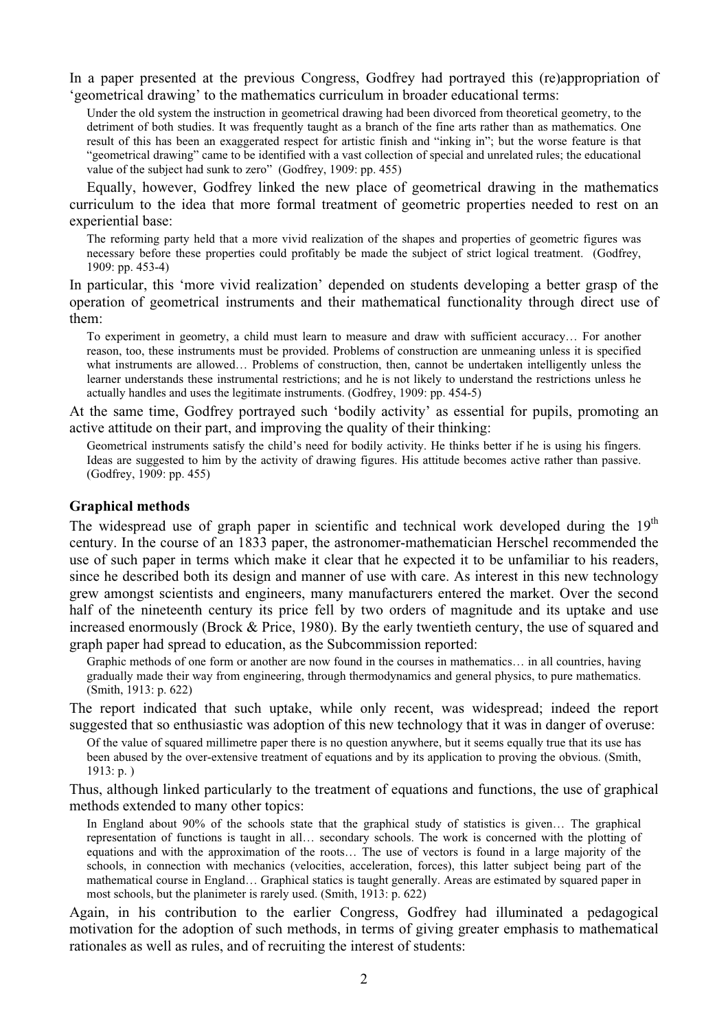In a paper presented at the previous Congress, Godfrey had portrayed this (re)appropriation of 'geometrical drawing' to the mathematics curriculum in broader educational terms:

Under the old system the instruction in geometrical drawing had been divorced from theoretical geometry, to the detriment of both studies. It was frequently taught as a branch of the fine arts rather than as mathematics. One result of this has been an exaggerated respect for artistic finish and "inking in"; but the worse feature is that "geometrical drawing" came to be identified with a vast collection of special and unrelated rules; the educational value of the subject had sunk to zero" (Godfrey, 1909: pp. 455)

Equally, however, Godfrey linked the new place of geometrical drawing in the mathematics curriculum to the idea that more formal treatment of geometric properties needed to rest on an experiential base:

The reforming party held that a more vivid realization of the shapes and properties of geometric figures was necessary before these properties could profitably be made the subject of strict logical treatment. (Godfrey, 1909: pp. 453-4)

In particular, this 'more vivid realization' depended on students developing a better grasp of the operation of geometrical instruments and their mathematical functionality through direct use of them:

To experiment in geometry, a child must learn to measure and draw with sufficient accuracy… For another reason, too, these instruments must be provided. Problems of construction are unmeaning unless it is specified what instruments are allowed… Problems of construction, then, cannot be undertaken intelligently unless the learner understands these instrumental restrictions; and he is not likely to understand the restrictions unless he actually handles and uses the legitimate instruments. (Godfrey, 1909: pp. 454-5)

At the same time, Godfrey portrayed such 'bodily activity' as essential for pupils, promoting an active attitude on their part, and improving the quality of their thinking:

Geometrical instruments satisfy the child's need for bodily activity. He thinks better if he is using his fingers. Ideas are suggested to him by the activity of drawing figures. His attitude becomes active rather than passive. (Godfrey, 1909: pp. 455)

## **Graphical methods**

The widespread use of graph paper in scientific and technical work developed during the  $19<sup>th</sup>$ century. In the course of an 1833 paper, the astronomer-mathematician Herschel recommended the use of such paper in terms which make it clear that he expected it to be unfamiliar to his readers, since he described both its design and manner of use with care. As interest in this new technology grew amongst scientists and engineers, many manufacturers entered the market. Over the second half of the nineteenth century its price fell by two orders of magnitude and its uptake and use increased enormously (Brock & Price, 1980). By the early twentieth century, the use of squared and graph paper had spread to education, as the Subcommission reported:

Graphic methods of one form or another are now found in the courses in mathematics… in all countries, having gradually made their way from engineering, through thermodynamics and general physics, to pure mathematics. (Smith, 1913: p. 622)

The report indicated that such uptake, while only recent, was widespread; indeed the report suggested that so enthusiastic was adoption of this new technology that it was in danger of overuse:

Of the value of squared millimetre paper there is no question anywhere, but it seems equally true that its use has been abused by the over-extensive treatment of equations and by its application to proving the obvious. (Smith, 1913: p. )

Thus, although linked particularly to the treatment of equations and functions, the use of graphical methods extended to many other topics:

In England about 90% of the schools state that the graphical study of statistics is given… The graphical representation of functions is taught in all… secondary schools. The work is concerned with the plotting of equations and with the approximation of the roots… The use of vectors is found in a large majority of the schools, in connection with mechanics (velocities, acceleration, forces), this latter subject being part of the mathematical course in England… Graphical statics is taught generally. Areas are estimated by squared paper in most schools, but the planimeter is rarely used. (Smith, 1913: p. 622)

Again, in his contribution to the earlier Congress, Godfrey had illuminated a pedagogical motivation for the adoption of such methods, in terms of giving greater emphasis to mathematical rationales as well as rules, and of recruiting the interest of students: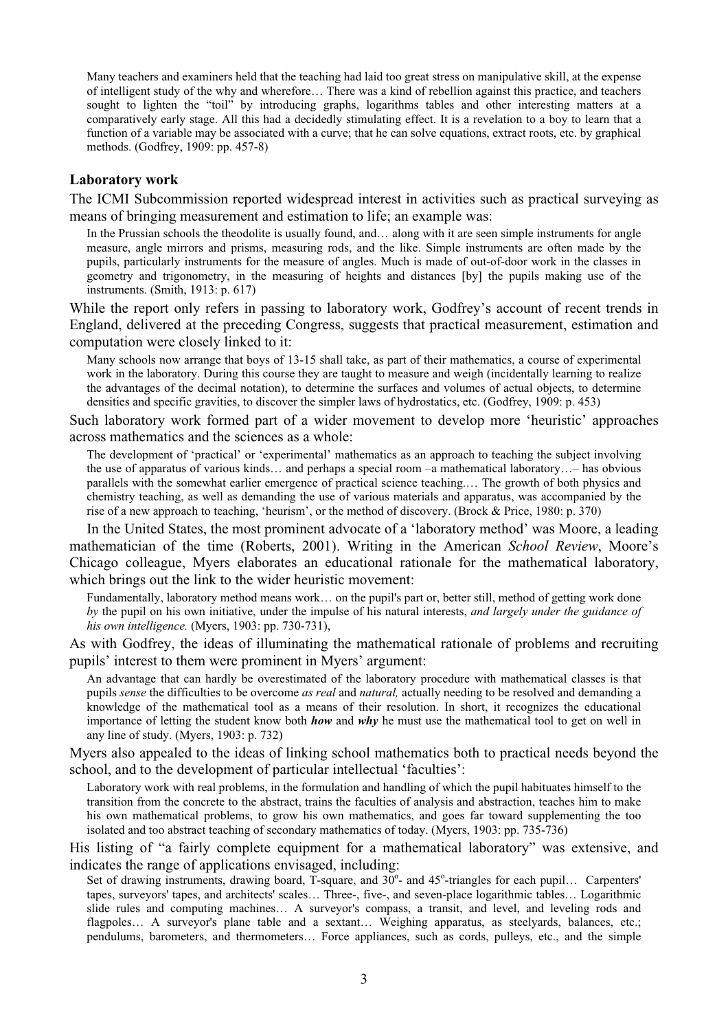Many teachers and examiners held that the teaching had laid too great stress on manipulative skill, at the expense of intelligent study of the why and wherefore… There was a kind of rebellion against this practice, and teachers sought to lighten the "toil" by introducing graphs, logarithms tables and other interesting matters at a comparatively early stage. All this had a decidedly stimulating effect. It is a revelation to a boy to learn that a function of a variable may be associated with a curve; that he can solve equations, extract roots, etc. by graphical methods. (Godfrey, 1909: pp. 457-8)

## **Laboratory work**

The ICMI Subcommission reported widespread interest in activities such as practical surveying as means of bringing measurement and estimation to life; an example was:

In the Prussian schools the theodolite is usually found, and... along with it are seen simple instruments for angle measure, angle mirrors and prisms, measuring rods, and the like. Simple instruments are often made by the pupils, particularly instruments for the measure of angles. Much is made of out-of-door work in the classes in geometry and trigonometry, in the measuring of heights and distances [by] the pupils making use of the instruments. (Smith, 1913: p. 617)

While the report only refers in passing to laboratory work, Godfrey's account of recent trends in England, delivered at the preceding Congress, suggests that practical measurement, estimation and computation were closely linked to it:

Many schools now arrange that boys of 13-15 shall take, as part of their mathematics, a course of experimental work in the laboratory. During this course they are taught to measure and weigh (incidentally learning to realize the advantages of the decimal notation), to determine the surfaces and volumes of actual objects, to determine densities and specific gravities, to discover the simpler laws of hydrostatics, etc. (Godfrey, 1909: p. 453)

Such laboratory work formed part of a wider movement to develop more 'heuristic' approaches across mathematics and the sciences as a whole:

The development of 'practical' or 'experimental' mathematics as an approach to teaching the subject involving the use of apparatus of various kinds… and perhaps a special room –a mathematical laboratory…– has obvious parallels with the somewhat earlier emergence of practical science teaching.… The growth of both physics and chemistry teaching, as well as demanding the use of various materials and apparatus, was accompanied by the rise of a new approach to teaching, 'heurism', or the method of discovery. (Brock & Price, 1980: p. 370)

In the United States, the most prominent advocate of a 'laboratory method' was Moore, a leading mathematician of the time (Roberts, 2001). Writing in the American *School Review*, Moore's Chicago colleague, Myers elaborates an educational rationale for the mathematical laboratory, which brings out the link to the wider heuristic movement:

Fundamentally, laboratory method means work… on the pupil's part or, better still, method of getting work done *by* the pupil on his own initiative, under the impulse of his natural interests, *and largely under the guidance of his own intelligence.* (Myers, 1903: pp. 730-731),

As with Godfrey, the ideas of illuminating the mathematical rationale of problems and recruiting pupils' interest to them were prominent in Myers' argument:

An advantage that can hardly be overestimated of the laboratory procedure with mathematical classes is that pupils *sense* the difficulties to be overcome *as real* and *natural,* actually needing to be resolved and demanding a knowledge of the mathematical tool as a means of their resolution. In short, it recognizes the educational importance of letting the student know both *how* and *why* he must use the mathematical tool to get on well in any line of study. (Myers, 1903: p. 732)

Myers also appealed to the ideas of linking school mathematics both to practical needs beyond the school, and to the development of particular intellectual 'faculties':

Laboratory work with real problems, in the formulation and handling of which the pupil habituates himself to the transition from the concrete to the abstract, trains the faculties of analysis and abstraction, teaches him to make his own mathematical problems, to grow his own mathematics, and goes far toward supplementing the too isolated and too abstract teaching of secondary mathematics of today. (Myers, 1903: pp. 735-736)

His listing of "a fairly complete equipment for a mathematical laboratory" was extensive, and indicates the range of applications envisaged, including:

Set of drawing instruments, drawing board, T-square, and 30°- and 45°-triangles for each pupil... Carpenters' tapes, surveyors' tapes, and architects' scales… Three-, five-, and seven-place logarithmic tables… Logarithmic slide rules and computing machines… A surveyor's compass, a transit, and level, and leveling rods and flagpoles… A surveyor's plane table and a sextant… Weighing apparatus, as steelyards, balances, etc.; pendulums, barometers, and thermometers… Force appliances, such as cords, pulleys, etc., and the simple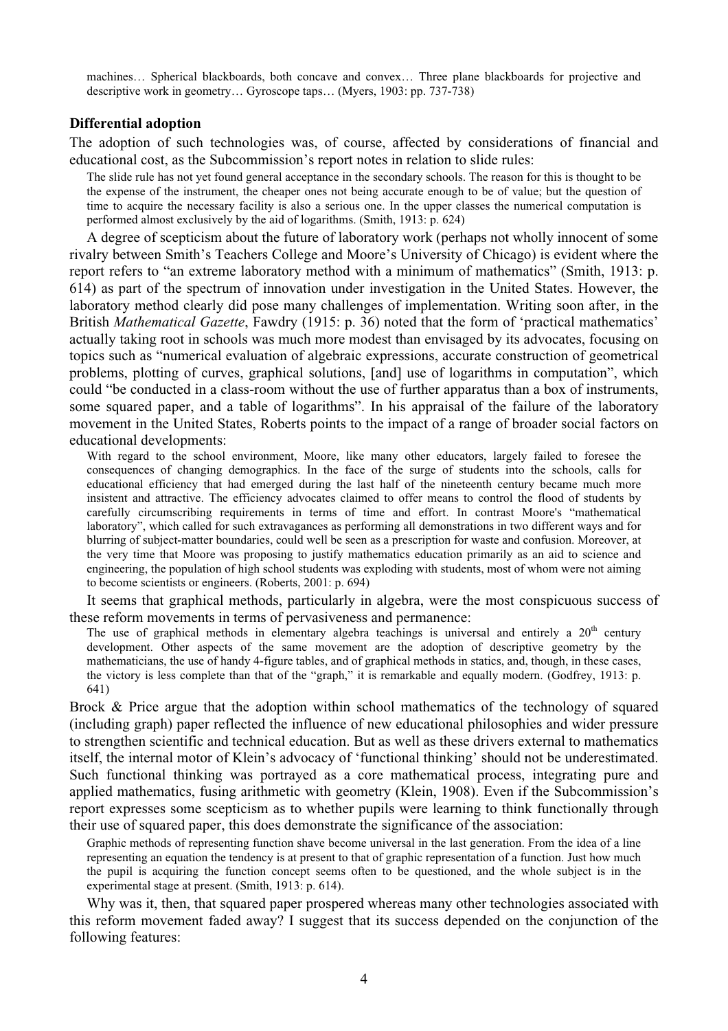machines… Spherical blackboards, both concave and convex… Three plane blackboards for projective and descriptive work in geometry… Gyroscope taps… (Myers, 1903: pp. 737-738)

#### **Differential adoption**

The adoption of such technologies was, of course, affected by considerations of financial and educational cost, as the Subcommission's report notes in relation to slide rules:

The slide rule has not yet found general acceptance in the secondary schools. The reason for this is thought to be the expense of the instrument, the cheaper ones not being accurate enough to be of value; but the question of time to acquire the necessary facility is also a serious one. In the upper classes the numerical computation is performed almost exclusively by the aid of logarithms. (Smith, 1913: p. 624)

A degree of scepticism about the future of laboratory work (perhaps not wholly innocent of some rivalry between Smith's Teachers College and Moore's University of Chicago) is evident where the report refers to "an extreme laboratory method with a minimum of mathematics" (Smith, 1913: p. 614) as part of the spectrum of innovation under investigation in the United States. However, the laboratory method clearly did pose many challenges of implementation. Writing soon after, in the British *Mathematical Gazette*, Fawdry (1915: p. 36) noted that the form of 'practical mathematics' actually taking root in schools was much more modest than envisaged by its advocates, focusing on topics such as "numerical evaluation of algebraic expressions, accurate construction of geometrical problems, plotting of curves, graphical solutions, [and] use of logarithms in computation", which could "be conducted in a class-room without the use of further apparatus than a box of instruments, some squared paper, and a table of logarithms". In his appraisal of the failure of the laboratory movement in the United States, Roberts points to the impact of a range of broader social factors on educational developments:

With regard to the school environment, Moore, like many other educators, largely failed to foresee the consequences of changing demographics. In the face of the surge of students into the schools, calls for educational efficiency that had emerged during the last half of the nineteenth century became much more insistent and attractive. The efficiency advocates claimed to offer means to control the flood of students by carefully circumscribing requirements in terms of time and effort. In contrast Moore's "mathematical laboratory", which called for such extravagances as performing all demonstrations in two different ways and for blurring of subject-matter boundaries, could well be seen as a prescription for waste and confusion. Moreover, at the very time that Moore was proposing to justify mathematics education primarily as an aid to science and engineering, the population of high school students was exploding with students, most of whom were not aiming to become scientists or engineers. (Roberts, 2001: p. 694)

It seems that graphical methods, particularly in algebra, were the most conspicuous success of these reform movements in terms of pervasiveness and permanence:

The use of graphical methods in elementary algebra teachings is universal and entirely a 20<sup>th</sup> century development. Other aspects of the same movement are the adoption of descriptive geometry by the mathematicians, the use of handy 4-figure tables, and of graphical methods in statics, and, though, in these cases, the victory is less complete than that of the "graph," it is remarkable and equally modern. (Godfrey, 1913: p. 641)

Brock & Price argue that the adoption within school mathematics of the technology of squared (including graph) paper reflected the influence of new educational philosophies and wider pressure to strengthen scientific and technical education. But as well as these drivers external to mathematics itself, the internal motor of Klein's advocacy of 'functional thinking' should not be underestimated. Such functional thinking was portrayed as a core mathematical process, integrating pure and applied mathematics, fusing arithmetic with geometry (Klein, 1908). Even if the Subcommission's report expresses some scepticism as to whether pupils were learning to think functionally through their use of squared paper, this does demonstrate the significance of the association:

Graphic methods of representing function shave become universal in the last generation. From the idea of a line representing an equation the tendency is at present to that of graphic representation of a function. Just how much the pupil is acquiring the function concept seems often to be questioned, and the whole subject is in the experimental stage at present. (Smith, 1913: p. 614).

Why was it, then, that squared paper prospered whereas many other technologies associated with this reform movement faded away? I suggest that its success depended on the conjunction of the following features: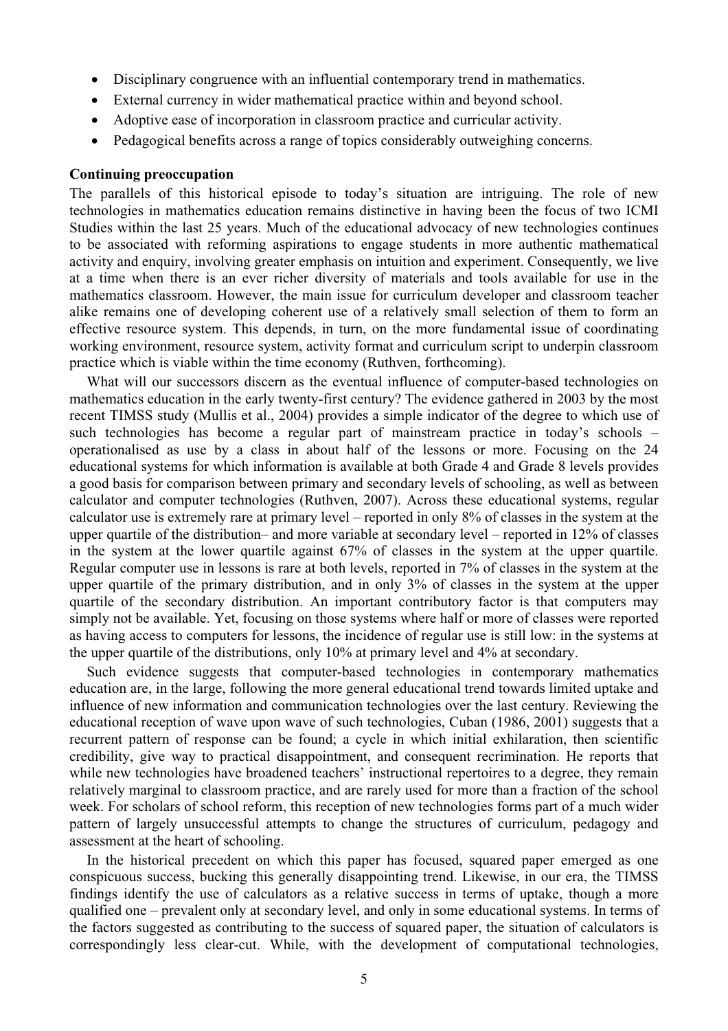- ! Disciplinary congruence with an influential contemporary trend in mathematics.
- ! External currency in wider mathematical practice within and beyond school.
- ! Adoptive ease of incorporation in classroom practice and curricular activity.
- ! Pedagogical benefits across a range of topics considerably outweighing concerns.

### **Continuing preoccupation**

The parallels of this historical episode to today's situation are intriguing. The role of new technologies in mathematics education remains distinctive in having been the focus of two ICMI Studies within the last 25 years. Much of the educational advocacy of new technologies continues to be associated with reforming aspirations to engage students in more authentic mathematical activity and enquiry, involving greater emphasis on intuition and experiment. Consequently, we live at a time when there is an ever richer diversity of materials and tools available for use in the mathematics classroom. However, the main issue for curriculum developer and classroom teacher alike remains one of developing coherent use of a relatively small selection of them to form an effective resource system. This depends, in turn, on the more fundamental issue of coordinating working environment, resource system, activity format and curriculum script to underpin classroom practice which is viable within the time economy (Ruthven, forthcoming).

What will our successors discern as the eventual influence of computer-based technologies on mathematics education in the early twenty-first century? The evidence gathered in 2003 by the most recent TIMSS study (Mullis et al., 2004) provides a simple indicator of the degree to which use of such technologies has become a regular part of mainstream practice in today's schools – operationalised as use by a class in about half of the lessons or more. Focusing on the 24 educational systems for which information is available at both Grade 4 and Grade 8 levels provides a good basis for comparison between primary and secondary levels of schooling, as well as between calculator and computer technologies (Ruthven, 2007). Across these educational systems, regular calculator use is extremely rare at primary level – reported in only 8% of classes in the system at the upper quartile of the distribution– and more variable at secondary level – reported in 12% of classes in the system at the lower quartile against 67% of classes in the system at the upper quartile. Regular computer use in lessons is rare at both levels, reported in 7% of classes in the system at the upper quartile of the primary distribution, and in only 3% of classes in the system at the upper quartile of the secondary distribution. An important contributory factor is that computers may simply not be available. Yet, focusing on those systems where half or more of classes were reported as having access to computers for lessons, the incidence of regular use is still low: in the systems at the upper quartile of the distributions, only 10% at primary level and 4% at secondary.

Such evidence suggests that computer-based technologies in contemporary mathematics education are, in the large, following the more general educational trend towards limited uptake and influence of new information and communication technologies over the last century. Reviewing the educational reception of wave upon wave of such technologies, Cuban (1986, 2001) suggests that a recurrent pattern of response can be found; a cycle in which initial exhilaration, then scientific credibility, give way to practical disappointment, and consequent recrimination. He reports that while new technologies have broadened teachers' instructional repertoires to a degree, they remain relatively marginal to classroom practice, and are rarely used for more than a fraction of the school week. For scholars of school reform, this reception of new technologies forms part of a much wider pattern of largely unsuccessful attempts to change the structures of curriculum, pedagogy and assessment at the heart of schooling.

In the historical precedent on which this paper has focused, squared paper emerged as one conspicuous success, bucking this generally disappointing trend. Likewise, in our era, the TIMSS findings identify the use of calculators as a relative success in terms of uptake, though a more qualified one – prevalent only at secondary level, and only in some educational systems. In terms of the factors suggested as contributing to the success of squared paper, the situation of calculators is correspondingly less clear-cut. While, with the development of computational technologies,